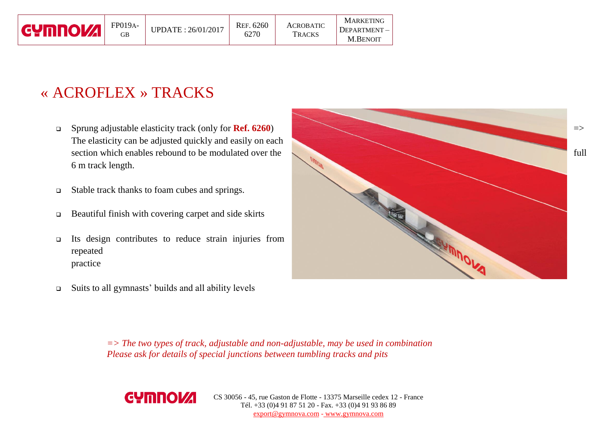| <b>EYMOU!!</b> | FP019A-<br>GВ | UPDATE: 26/01/2017 | REF. 6260<br>6270 | <b>ACROBATIC</b><br><b>TRACKS</b> | <b>MARKETING</b><br>DEPARTMENT-<br><b>M.BENOIT</b> |
|----------------|---------------|--------------------|-------------------|-----------------------------------|----------------------------------------------------|
|----------------|---------------|--------------------|-------------------|-----------------------------------|----------------------------------------------------|

## « ACROFLEX » TRACKS

- The elasticity can be adjusted quickly and easily on each 6 m track length.
- Stable track thanks to foam cubes and springs.
- Beautiful finish with covering carpet and side skirts
- Its design contributes to reduce strain injuries from repeated practice
- Suits to all gymnasts' builds and all ability levels

*=> The two types of track, adjustable and non-adjustable, may be used in combination Please ask for details of special junctions between tumbling tracks and pits*



CS 30056 - 45, rue Gaston de Flotte - 13375 Marseille cedex 12 - France Tél. +33 (0)4 91 87 51 20 - Fax. +33 (0)4 91 93 86 89 export@gymnova.com - www.gymnova.com